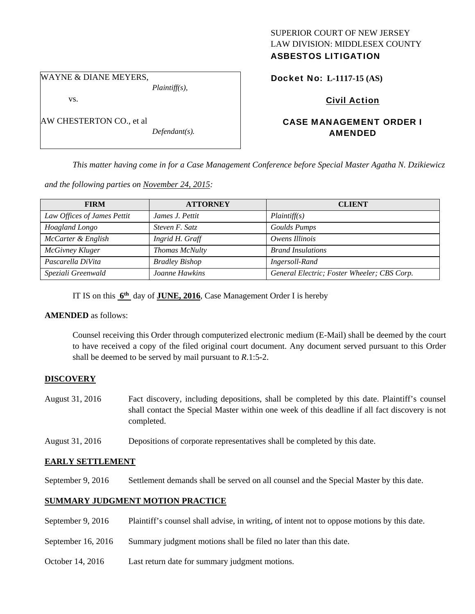# SUPERIOR COURT OF NEW JERSEY LAW DIVISION: MIDDLESEX COUNTY

## ASBESTOS LITIGATION

WAYNE & DIANE MEYERS,

vs.

AW CHESTERTON CO., et al

*Defendant(s).* 

*Plaintiff(s),* 

Docket No: **L-1117-15 (AS)** 

## Civil Action

## CASE MANAGEMENT ORDER I AMENDED

*This matter having come in for a Case Management Conference before Special Master Agatha N. Dzikiewicz* 

*and the following parties on November 24, 2015:* 

| <b>FIRM</b>                 | <b>ATTORNEY</b>       | <b>CLIENT</b>                               |
|-----------------------------|-----------------------|---------------------------------------------|
| Law Offices of James Pettit | James J. Pettit       | Plaintiff(s)                                |
| Hoagland Longo              | Steven F. Satz        | <b>Goulds Pumps</b>                         |
| McCarter & English          | Ingrid H. Graff       | Owens Illinois                              |
| McGivney Kluger             | Thomas McNulty        | <b>Brand Insulations</b>                    |
| Pascarella DiVita           | <b>Bradley Bishop</b> | Ingersoll-Rand                              |
| Speziali Greenwald          | Joanne Hawkins        | General Electric; Foster Wheeler; CBS Corp. |

IT IS on this **6th** day of **JUNE, 2016**, Case Management Order I is hereby

## **AMENDED** as follows:

Counsel receiving this Order through computerized electronic medium (E-Mail) shall be deemed by the court to have received a copy of the filed original court document. Any document served pursuant to this Order shall be deemed to be served by mail pursuant to *R*.1:5-2.

## **DISCOVERY**

- August 31, 2016 Fact discovery, including depositions, shall be completed by this date. Plaintiff's counsel shall contact the Special Master within one week of this deadline if all fact discovery is not completed.
- August 31, 2016 Depositions of corporate representatives shall be completed by this date.

## **EARLY SETTLEMENT**

September 9, 2016 Settlement demands shall be served on all counsel and the Special Master by this date.

## **SUMMARY JUDGMENT MOTION PRACTICE**

- September 9, 2016 Plaintiff's counsel shall advise, in writing, of intent not to oppose motions by this date.
- September 16, 2016 Summary judgment motions shall be filed no later than this date.
- October 14, 2016 Last return date for summary judgment motions.